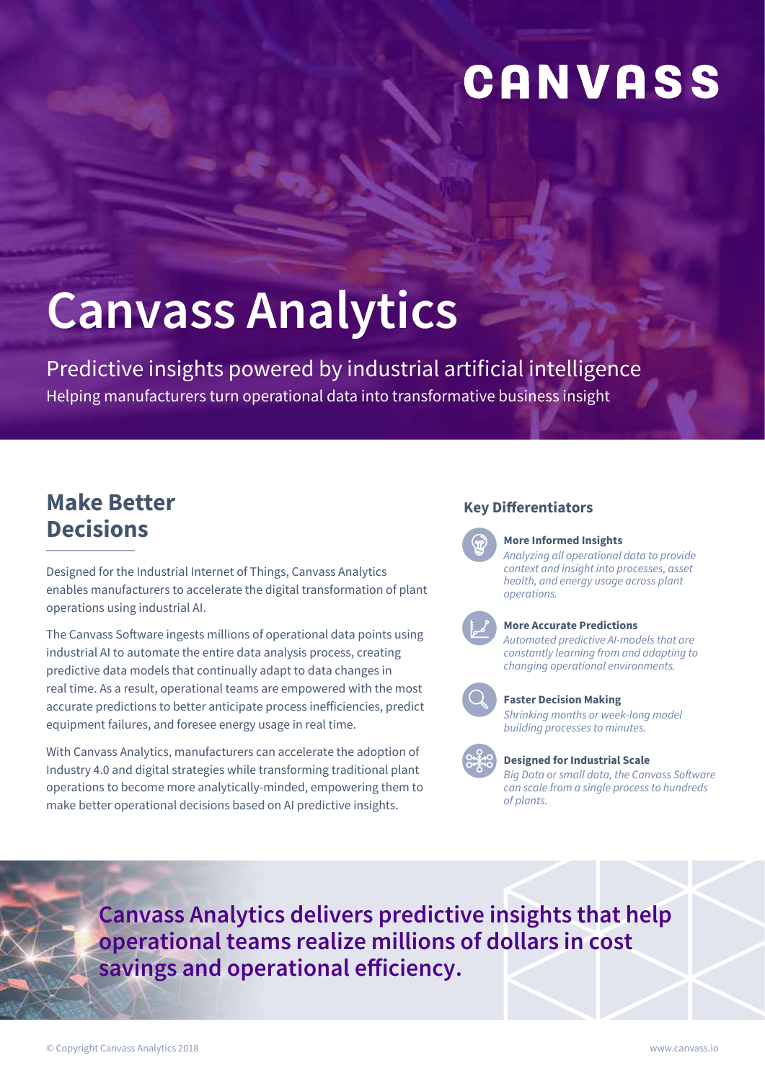## CANVASS

# **Canvass Analytics**

Predictive insights powered by industrial artificial intelligence Helping manufacturers turn operational data into transformative business insight

### **Make Better Decisions**

Designed for the Industrial Internet of Things, Canvass Analytics enables manufacturers to accelerate the digital transformation of plant operations using industrial AI.

The Canvass Software ingests millions of operational data points using industrial AI to automate the entire data analysis process, creating predictive data models that continually adapt to data changes in real time. As a result, operational teams are empowered with the most accurate predictions to better anticipate process inefficiencies, predict equipment failures, and foresee energy usage in real time.

With Canvass Analytics, manufacturers can accelerate the adoption of Industry 4.0 and digital strategies while transforming traditional plant operations to become more analytically-minded, empowering them to make better operational decisions based on AI predictive insights.

#### **Key Differentiators**

**More Informed Insights** 

*Analyzing all operational data to provide context and insight into processes, asset health, and energy usage across plant operations.*



#### **More Accurate Predictions**

*Automated predictive AI-models that are constantly learning from and adapting to changing operational environments.* 



#### **Faster Decision Making**

*Shrinking months or week-long model building processes to minutes.*

#### **Designed for Industrial Scale**

*Big Data or small data, the Canvass Software can scale from a single process to hundreds of plants.* 

**Canvass Analytics delivers predictive insights that help operational teams realize millions of dollars in cost savings and operational efficiency.**